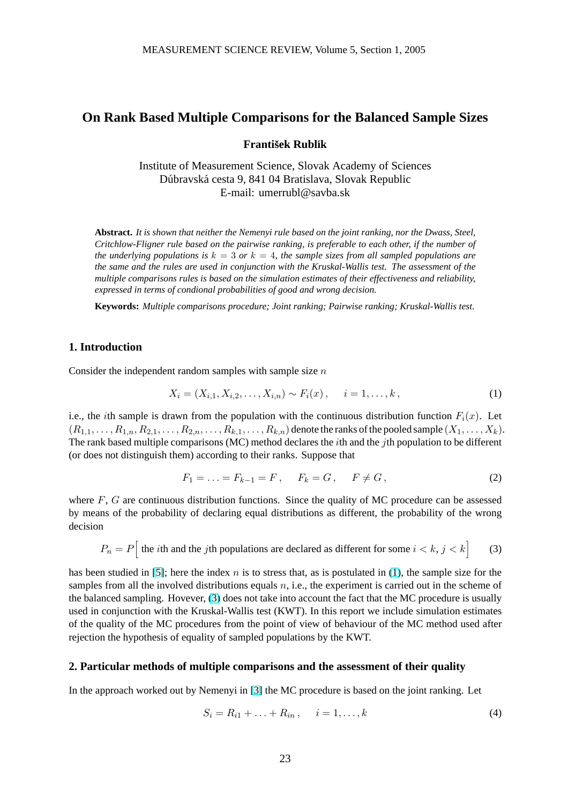# <span id="page-0-0"></span>**On Rank Based Multiple Comparisons for the Balanced Sample Sizes**

#### **František Rublík**

Institute of Measurement Science, Slovak Academy of Sciences Dúbravská cesta 9, 841 04 Bratislava, Slovak Republic E-mail: umerrubl@savba.sk

**Abstract.** *It is shown that neither the Nemenyi rule based on the joint ranking, nor the Dwass, Steel, Critchlow-Fligner rule based on the pairwise ranking, is preferable to each other, if the number of the underlying populations is*  $k = 3$  *or*  $k = 4$ *, the sample sizes from all sampled populations are the same and the rules are used in conjunction with the Kruskal-Wallis test. The assessment of the multiple comparisons rules is based on the simulation estimates of their effectiveness and reliability, expressed in terms of condional probabilities of good and wrong decision.*

**Keywords:** *Multiple comparisons procedure; Joint ranking; Pairwise ranking; Kruskal-Wallis test.*

### **1. Introduction**

Consider the independent random samples with sample size  $n$ 

$$
X_i = (X_{i,1}, X_{i,2}, \dots, X_{i,n}) \sim F_i(x), \quad i = 1, \dots, k,
$$
\n(1)

i.e., the *i*th sample is drawn from the population with the continuous distribution function  $F_i(x)$ . Let  $(R_{1,1},\ldots,R_{1,n},R_{2,1},\ldots,R_{2,n},\ldots,R_{k,1},\ldots,R_{k,n})$  denote the ranks of the pooled sample  $(X_1,\ldots,X_k)$ . The rank based multiple comparisons (MC) method declares the ith and the jth population to be different (or does not distinguish them) according to their ranks. Suppose that

$$
F_1 = \ldots = F_{k-1} = F, \quad F_k = G, \quad F \neq G,\tag{2}
$$

where  $F$ ,  $G$  are continuous distribution functions. Since the quality of MC procedure can be assessed by means of the probability of declaring equal distributions as different, the probability of the wrong decision

$$
P_n = P \Big[ \text{ the } i \text{th and the } j \text{th populations are declared as different for some } i < k, j < k \Big] \tag{3}
$$

has been studied in [5]; here the index n is to stress that, as is postulated in (1), the sample size for the samples from all the involved distributions equals  $n$ , i.e., the experiment is carried out in the scheme of the balanced sampling. Hovever, (3) does not take into account the fact that the MC procedure is usually used in conjunction with the Kruskal-Wallis test (KWT). In this report we include simulation estimates of the quality of the [M](#page-3-0)C procedures from the point of view of behaviour of the MC method used after rejection the hypothesis of equality of sampled populations by the KWT.

#### **2. Particular methods of multiple comparisons and the assessment of their quality**

In the approach worked out by Nemenyi in [3] the MC procedure is based on the joint ranking. Let

$$
S_i = R_{i1} + \ldots + R_{in}, \quad i = 1, \ldots, k \tag{4}
$$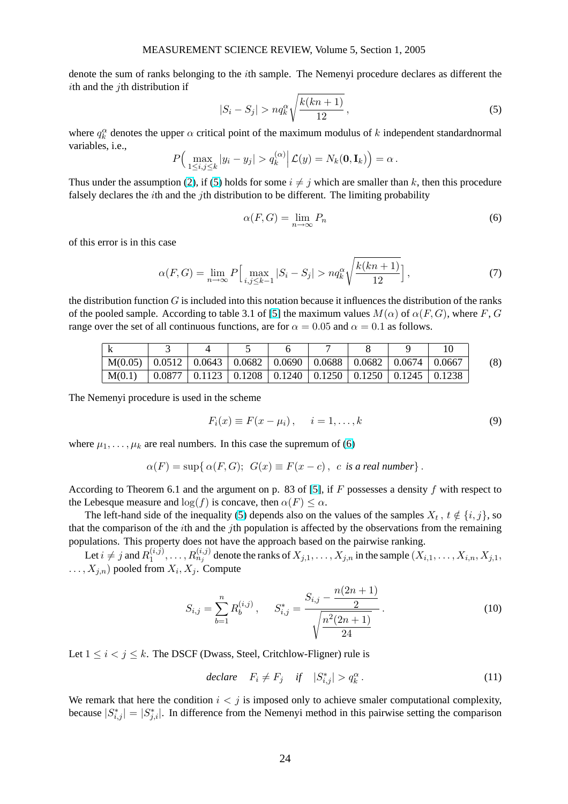<span id="page-1-0"></span>denote the sum of ranks belonging to the ith sample. The Nemenyi procedure declares as different the ith and the *i*th distribution if s

$$
|S_i - S_j| > nq_k^{\alpha} \sqrt{\frac{k(kn+1)}{12}},
$$
\n(5)

where  $q_k^{\alpha}$  denotes the upper  $\alpha$  critical point of the maximum modulus of k independent standardnormal variables, i.e.,  $\overline{a}$  $\overline{a}$ ´

$$
P\Big(\max_{1\leq i,j\leq k}|y_i-y_j|>q_k^{(\alpha)}\Big|\mathcal{L}(y)=N_k(\mathbf{0},\mathbf{I}_k)\Big)=\alpha.
$$

Thus under the assumption (2), if (5) holds for some  $i \neq j$  which are smaller than k, then this procedure falsely declares the *i*th and the *j*th distribution to be different. The limiting probability

$$
\alpha(F, G) = \lim_{n \to \infty} P_n \tag{6}
$$

of this error is in this case

$$
\alpha(F, G) = \lim_{n \to \infty} P \Big[ \max_{i, j \le k-1} |S_i - S_j| > n q_k^{\alpha} \sqrt{\frac{k(kn+1)}{12}} \Big],
$$
\n(7)

the distribution function  $G$  is included into this notation because it influences the distribution of the ranks of the pooled sample. According to table 3.1 of [5] the maximum values  $M(\alpha)$  of  $\alpha(F, G)$ , where F, G range over the set of all continuous functions, are for  $\alpha = 0.05$  and  $\alpha = 0.1$  as follows.

| M(0.05) | $\pm 0.0512 +$ |  | $\vert 0.0643 \vert 0.0682 \vert 0.0690 \vert$ | $\vert 0.0688 \vert$ | $\perp 0.0682 \perp$  | 0.0674 | $\pm 0.0667$ | (8) |
|---------|----------------|--|------------------------------------------------|----------------------|-----------------------|--------|--------------|-----|
| M(0.1)  | 0.0877         |  | $\vert 0.1123 \vert 0.1208 \vert 0.1240 \vert$ | $\vert 0.1250 \vert$ | $\vert$ 0.1250 0.1245 |        |              |     |

The Nemenyi procedure is used in the scheme

$$
F_i(x) \equiv F(x - \mu_i), \quad i = 1, \dots, k \tag{9}
$$

where  $\mu_1, \ldots, \mu_k$  are real numbers. In this case the supremum of (6)

$$
\alpha(F) = \sup \{ \alpha(F, G); \ G(x) \equiv F(x - c), \ c \text{ is a real number} \}.
$$

According to Theorem 6.1 and the argument on p. 83 of [5], if F possesses a density f with respect to the Lebesque measure and  $\log(f)$  is concave, then  $\alpha(F) \leq \alpha$ .

The left-hand side of the inequality (5) depends also on the values of the samples  $X_t$ ,  $t \notin \{i, j\}$ , so that the comparison of the *i*th and the *j*th population is affected by the observations from the remaining populations. This property does not have the approach ba[sed](#page-3-0) on the pairwise ranking.

Let  $i \neq j$  and  $R_1^{(i,j)}$  $\{a_1^{(i,j)},\ldots,R_{n_j}^{(i,j)}$  denote the ranks of  $X_{j,1},\ldots,X_{j,n}$  in the sample  $(X_{i,1},\ldots,X_{i,n},X_{j,1},\ldots)$  $\dots, X_{j,n}$  pooled from  $X_i, X_j$ . Compute

$$
S_{i,j} = \sum_{b=1}^{n} R_b^{(i,j)}, \qquad S_{i,j}^* = \frac{S_{i,j} - \frac{n(2n+1)}{2}}{\sqrt{\frac{n^2(2n+1)}{24}}}.
$$
 (10)

Let  $1 \le i < j \le k$ . The DSCF (Dwass, Steel, Critchlow-Fligner) rule is

$$
\ declare \tFi \neq Fj \tif |Si,j*| > qk\alpha.
$$
\n(11)

We remark that here the condition  $i < j$  is imposed only to achieve smaler computational complexity, because  $|S_{i,j}^*| = |S_{j,i}^*|$ . In difference from the Nemenyi method in this pairwise setting the comparison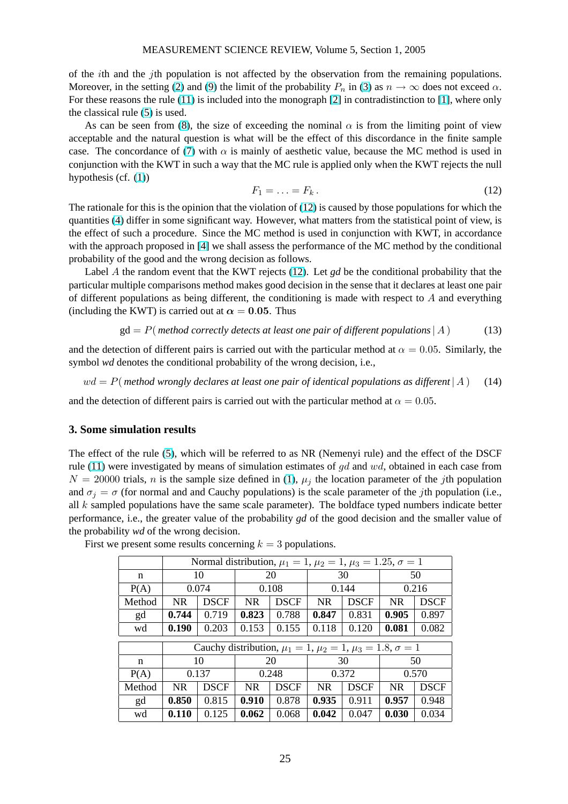<span id="page-2-0"></span>of the ith and the jth population is not affected by the observation from the remaining populations. Moreover, in the setting (2) and (9) the limit of the probability  $P_n$  in (3) as  $n \to \infty$  does not exceed  $\alpha$ . For these reasons the rule (11) is included into the monograph [2] in contradistinction to [1], where only the classical rule (5) is used.

As can be seen from (8), the size of exceeding the nominal  $\alpha$  is from the limiting point of view acceptable and the natur[al](#page-0-0) quest[ion](#page-1-0) is what will be the effect of thi[s d](#page-0-0)iscordance in the finite sample case. The concordance of [\(7\)](#page-1-0) with  $\alpha$  is mainly of aesthetic v[alu](#page-3-0)e, because the MC me[tho](#page-3-0)d is used in conjunction with [the](#page-1-0) KWT [in](#page-1-0) such a way that the MC rule is applied only when the KWT rejects the null hypothesis (cf. (1))

$$
F_1 = \ldots = F_k. \tag{12}
$$

The rationale for this is the [opi](#page-1-0)nion that the violation of (12) is caused by those populations for which the quantities (4) di[ffe](#page-0-0)r in some significant way. However, what matters from the statistical point of view, is the effect of such a procedure. Since the MC method is used in conjunction with KWT, in accordance with the approach proposed in [4] we shall assess the performance of the MC method by the conditional probability of the good and the wrong decision as follows.

Label [A](#page-0-0) the random event that the KWT rejects (12). Let *gd* be the conditional probability that the particular multiple comparisons method makes good decision in the sense that it declares at least one pair of different populations as bei[ng](#page-3-0) different, the conditioning is made with respect to  $A$  and everything (including the KWT) is carried out at  $\alpha = 0.05$ . Thus

$$
gd = P(\text{method correctly detects at least one pair of different populations} | A)
$$
 (13)

and the detection of different pairs is carried out with the particular method at  $\alpha = 0.05$ . Similarly, the symbol *wd* denotes the conditional probability of the wrong decision, i.e.,

 $wd = P$ (*method wrongly declares at least one pair of identical populations as different* | A ) (14)

and the detection of different pairs is carried out with the particular method at  $\alpha = 0.05$ .

#### **3. Some simulation results**

The effect of the rule (5), which will be referred to as NR (Nemenyi rule) and the effect of the DSCF rule (11) were investigated by means of simulation estimates of  $gd$  and  $wd$ , obtained in each case from  $N = 20000$  trials, *n* is the sample size defined in (1),  $\mu_i$  the location parameter of the *j*th population and  $\sigma_j = \sigma$  (for normal and and Cauchy populations) is the scale parameter of the *j*th population (i.e., all  $k$  sampled populati[on](#page-1-0)s have the same scale parameter). The boldface typed numbers indicate better perf[orma](#page-1-0)nce, i.e., the greater value of the probabili[ty](#page-0-0) *gd* of the good decision and the smaller value of the probability *wd* of the wrong decision.

|        | Normal distribution, $\mu_1 = 1$ , $\mu_2 = 1$ , $\mu_3 = 1.25$ , $\sigma = 1$ |             |                |             |                |             |           |             |  |  |  |
|--------|--------------------------------------------------------------------------------|-------------|----------------|-------------|----------------|-------------|-----------|-------------|--|--|--|
| n      |                                                                                | 10          | 20             |             |                | 30          | 50        |             |  |  |  |
| P(A)   |                                                                                | 0.074       |                | 0.108       |                | 0.144       | 0.216     |             |  |  |  |
| Method | <b>NR</b>                                                                      | <b>DSCF</b> | <b>NR</b>      | <b>DSCF</b> | <b>NR</b>      | <b>DSCF</b> | <b>NR</b> | <b>DSCF</b> |  |  |  |
| gd     | 0.744                                                                          | 0.719       | 0.823          | 0.788       | 0.847<br>0.831 |             | 0.905     | 0.897       |  |  |  |
| wd     | 0.190                                                                          | 0.203       | 0.153<br>0.155 |             | 0.118          | 0.120       | 0.081     | 0.082       |  |  |  |
|        |                                                                                |             |                |             |                |             |           |             |  |  |  |
|        | Cauchy distribution, $\mu_1 = 1, \mu_2 = 1, \mu_3 = 1.8, \sigma = 1$           |             |                |             |                |             |           |             |  |  |  |
|        |                                                                                |             |                |             |                |             |           |             |  |  |  |
| n      |                                                                                | 10          |                | 20          |                | 30          |           | 50          |  |  |  |
| P(A)   |                                                                                | 0.137       |                | 0.248       |                | 0.372       |           | 0.570       |  |  |  |
| Method | <b>NR</b>                                                                      | <b>DSCF</b> | <b>NR</b>      | <b>DSCF</b> | <b>NR</b>      | <b>DSCF</b> | <b>NR</b> | <b>DSCF</b> |  |  |  |
| gd     | 0.850                                                                          | 0.815       | 0.910          | 0.878       | 0.935          | 0.911       | 0.957     | 0.948       |  |  |  |

First we present some results concerning  $k = 3$  populations.